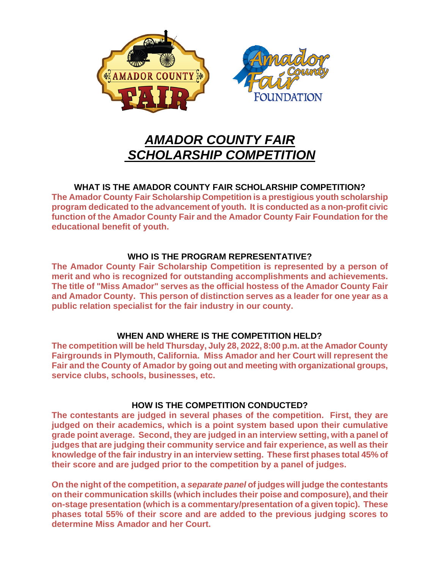

# *AMADOR COUNTY FAIR SCHOLARSHIP COMPETITION*

## **WHAT IS THE AMADOR COUNTY FAIR SCHOLARSHIP COMPETITION?**

**The Amador County Fair Scholarship Competition is a prestigious youth scholarship program dedicated to the advancement of youth. It is conducted as a non-profit civic function of the Amador County Fair and the Amador County Fair Foundation for the educational benefit of youth.**

## **WHO IS THE PROGRAM REPRESENTATIVE?**

**The Amador County Fair Scholarship Competition is represented by a person of merit and who is recognized for outstanding accomplishments and achievements. The title of "Miss Amador" serves as the official hostess of the Amador County Fair and Amador County. This person of distinction serves as a leader for one year as a public relation specialist for the fair industry in our county.**

## **WHEN AND WHERE IS THE COMPETITION HELD?**

**The competition will be held Thursday, July 28, 2022, 8:00 p.m. at the Amador County Fairgrounds in Plymouth, California. Miss Amador and her Court will represent the Fair and the County of Amador by going out and meeting with organizational groups, service clubs, schools, businesses, etc.**

## **HOW IS THE COMPETITION CONDUCTED?**

**The contestants are judged in several phases of the competition. First, they are judged on their academics, which is a point system based upon their cumulative grade point average. Second, they are judged in an interview setting, with a panel of judges that are judging their community service and fair experience, as well as their knowledge of the fair industry in an interview setting. These first phases total 45% of their score and are judged prior to the competition by a panel of judges.**

**On the night of the competition, a** *separate panel* **of judges will judge the contestants on their communication skills (which includes their poise and composure), and their on-stage presentation (which is a commentary/presentation of a given topic). These phases total 55% of their score and are added to the previous judging scores to determine Miss Amador and her Court.**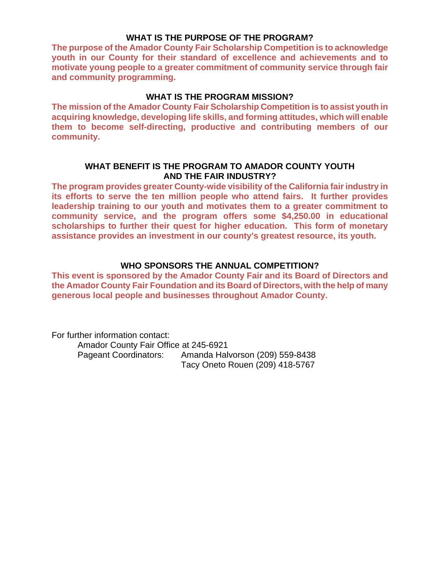### **WHAT IS THE PURPOSE OF THE PROGRAM?**

**The purpose of the Amador County Fair Scholarship Competition is to acknowledge youth in our County for their standard of excellence and achievements and to motivate young people to a greater commitment of community service through fair and community programming.**

### **WHAT IS THE PROGRAM MISSION?**

**The mission of the Amador County Fair Scholarship Competition is to assist youth in acquiring knowledge, developing life skills, and forming attitudes, which will enable them to become self-directing, productive and contributing members of our community.**

### **WHAT BENEFIT IS THE PROGRAM TO AMADOR COUNTY YOUTH AND THE FAIR INDUSTRY?**

**The program provides greater County-wide visibility of the California fair industry in its efforts to serve the ten million people who attend fairs. It further provides leadership training to our youth and motivates them to a greater commitment to community service, and the program offers some \$4,250.00 in educational scholarships to further their quest for higher education. This form of monetary assistance provides an investment in our county's greatest resource, its youth.**

### **WHO SPONSORS THE ANNUAL COMPETITION?**

**This event is sponsored by the Amador County Fair and its Board of Directors and the Amador County Fair Foundation and its Board of Directors, with the help of many generous local people and businesses throughout Amador County.**

For further information contact: Amador County Fair Office at 245-6921 Pageant Coordinators: Amanda Halvorson (209) 559-8438 Tacy Oneto Rouen (209) 418-5767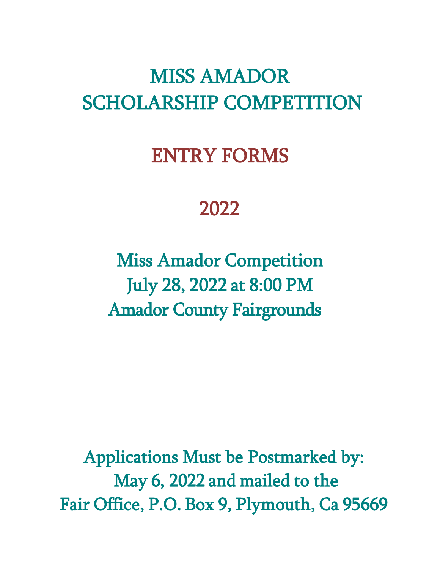# ENTRY FORMS

# 2022

Miss Amador Competition July 28, 2022 at 8:00 PM Amador County Fairgrounds

Applications Must be Postmarked by: May 6, 2022 and mailed to the Fair Office, P.O. Box 9, Plymouth, Ca 95669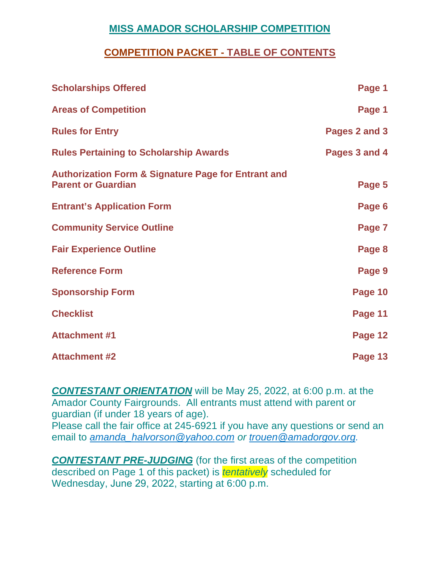# **COMPETITION PACKET - TABLE OF CONTENTS**

| <b>Scholarships Offered</b>                                                                 | Page 1        |
|---------------------------------------------------------------------------------------------|---------------|
| <b>Areas of Competition</b>                                                                 | Page 1        |
| <b>Rules for Entry</b>                                                                      | Pages 2 and 3 |
| <b>Rules Pertaining to Scholarship Awards</b>                                               | Pages 3 and 4 |
| <b>Authorization Form &amp; Signature Page for Entrant and</b><br><b>Parent or Guardian</b> | Page 5        |
| <b>Entrant's Application Form</b>                                                           | Page 6        |
| <b>Community Service Outline</b>                                                            | Page 7        |
| <b>Fair Experience Outline</b>                                                              | Page 8        |
| <b>Reference Form</b>                                                                       | Page 9        |
| <b>Sponsorship Form</b>                                                                     | Page 10       |
| <b>Checklist</b>                                                                            | Page 11       |
| <b>Attachment #1</b>                                                                        | Page 12       |
| <b>Attachment #2</b>                                                                        | Page 13       |

*CONTESTANT ORIENTATION* will be May 25, 2022, at 6:00 p.m. at the Amador County Fairgrounds. All entrants must attend with parent or guardian (if under 18 years of age).

Please call the fair office at 245-6921 if you have any questions or send an email to *[amanda\\_halvorson@yahoo.com](mailto:amanda_halvorson@yahoo.com) or trouen@amadorgov.org.* 

*CONTESTANT PRE-JUDGING* (for the first areas of the competition described on Page 1 of this packet) is *tentatively* scheduled for Wednesday, June 29, 2022, starting at 6:00 p.m.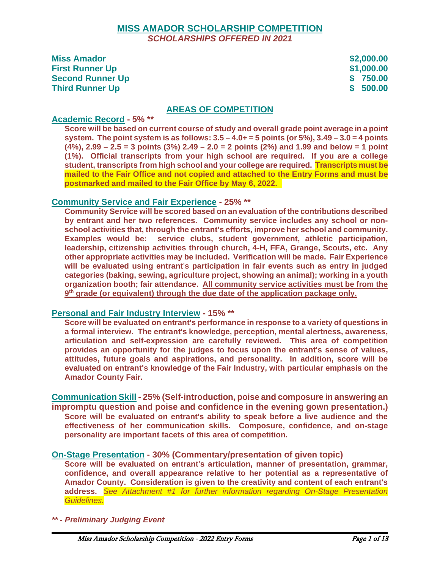### **MISS AMADOR SCHOLARSHIP COMPETITION** *SCHOLARSHIPS OFFERED IN 2021*

| <b>Miss Amador</b>      | \$2,000.00 |
|-------------------------|------------|
| <b>First Runner Up</b>  | \$1,000.00 |
| <b>Second Runner Up</b> | \$ 750.00  |
| <b>Third Runner Up</b>  | \$500.00   |

### **AREAS OF COMPETITION**

### **Academic Record - 5% \*\***

**Score will be based on current course of study and overall grade point average in a point system. The point system is as follows: 3.5 – 4.0+ = 5 points (or 5%), 3.49 – 3.0 = 4 points (4%), 2.99 – 2.5 = 3 points (3%) 2.49 – 2.0 = 2 points (2%) and 1.99 and below = 1 point (1%). Official transcripts from your high school are required. If you are a college student, transcripts from high school and your college are required. Transcripts must be mailed to the Fair Office and not copied and attached to the Entry Forms and must be postmarked and mailed to the Fair Office by May 6, 2022.** 

### **Community Service and Fair Experience - 25% \*\***

**Community Service will be scored based on an evaluation of the contributions described by entrant and her two references. Community service includes any school or nonschool activities that, through the entrant's efforts, improve her school and community. Examples would be: service clubs, student government, athletic participation, leadership, citizenship activities through church, 4-H, FFA, Grange, Scouts, etc. Any other appropriate activities may be included. Verification will be made. Fair Experience will be evaluated using entrant**'**s participation in fair events such as entry in judged categories (baking, sewing, agriculture project, showing an animal); working in a youth organization booth; fair attendance. All community service activities must be from the 9th grade (or equivalent) through the due date of the application package only.** 

### **Personal and Fair Industry Interview - 15% \*\***

**Score will be evaluated on entrant's performance in response to a variety of questions in a formal interview. The entrant's knowledge, perception, mental alertness, awareness, articulation and self-expression are carefully reviewed. This area of competition provides an opportunity for the judges to focus upon the entrant's sense of values, attitudes, future goals and aspirations, and personality. In addition, score will be evaluated on entrant's knowledge of the Fair Industry, with particular emphasis on the Amador County Fair.**

**Communication Skill - 25% (Self-introduction, poise and composure in answering an impromptu question and poise and confidence in the evening gown presentation.) Score will be evaluated on entrant's ability to speak before a live audience and the effectiveness of her communication skills. Composure, confidence, and on-stage personality are important facets of this area of competition.** 

### **On-Stage Presentation - 30% (Commentary/presentation of given topic)**

**Score will be evaluated on entrant's articulation, manner of presentation, grammar, confidence, and overall appearance relative to her potential as a representative of Amador County. Consideration is given to the creativity and content of each entrant's address.** *See Attachment #1 for further information regarding On-Stage Presentation Guidelines.*

*\*\* - Preliminary Judging Event*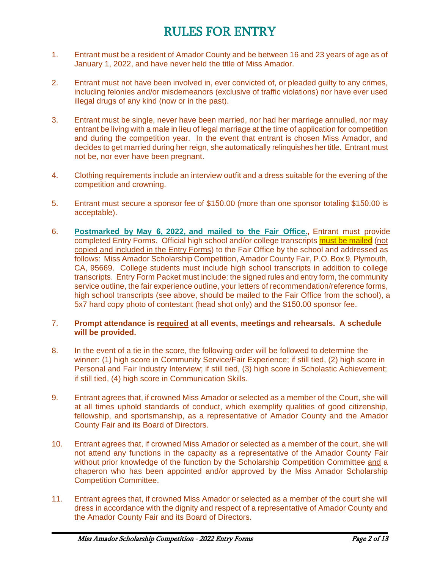# RULES FOR ENTRY

- 1. Entrant must be a resident of Amador County and be between 16 and 23 years of age as of January 1, 2022, and have never held the title of Miss Amador.
- 2. Entrant must not have been involved in, ever convicted of, or pleaded guilty to any crimes, including felonies and/or misdemeanors (exclusive of traffic violations) nor have ever used illegal drugs of any kind (now or in the past).
- 3. Entrant must be single, never have been married, nor had her marriage annulled, nor may entrant be living with a male in lieu of legal marriage at the time of application for competition and during the competition year. In the event that entrant is chosen Miss Amador, and decides to get married during her reign, she automatically relinquishes her title. Entrant must not be, nor ever have been pregnant.
- 4. Clothing requirements include an interview outfit and a dress suitable for the evening of the competition and crowning.
- 5. Entrant must secure a sponsor fee of \$150.00 (more than one sponsor totaling \$150.00 is acceptable).
- 6. **Postmarked by May 6, 2022, and mailed to the Fair Office.,** Entrant must provide completed Entry Forms. Official high school and/or college transcripts must be mailed (not copied and included in the Entry Forms) to the Fair Office by the school and addressed as follows: Miss Amador Scholarship Competition, Amador County Fair, P.O. Box 9, Plymouth, CA, 95669. College students must include high school transcripts in addition to college transcripts. Entry Form Packet must include: the signed rules and entry form, the community service outline, the fair experience outline, your letters of recommendation/reference forms, high school transcripts (see above, should be mailed to the Fair Office from the school), a 5x7 hard copy photo of contestant (head shot only) and the \$150.00 sponsor fee.

### 7. **Prompt attendance is required at all events, meetings and rehearsals. A schedule will be provided.**

- 8. In the event of a tie in the score, the following order will be followed to determine the winner: (1) high score in Community Service/Fair Experience; if still tied, (2) high score in Personal and Fair Industry Interview; if still tied, (3) high score in Scholastic Achievement; if still tied, (4) high score in Communication Skills.
- 9. Entrant agrees that, if crowned Miss Amador or selected as a member of the Court, she will at all times uphold standards of conduct, which exemplify qualities of good citizenship, fellowship, and sportsmanship, as a representative of Amador County and the Amador County Fair and its Board of Directors.
- 10. Entrant agrees that, if crowned Miss Amador or selected as a member of the court, she will not attend any functions in the capacity as a representative of the Amador County Fair without prior knowledge of the function by the Scholarship Competition Committee and a chaperon who has been appointed and/or approved by the Miss Amador Scholarship Competition Committee.
- 11. Entrant agrees that, if crowned Miss Amador or selected as a member of the court she will dress in accordance with the dignity and respect of a representative of Amador County and the Amador County Fair and its Board of Directors.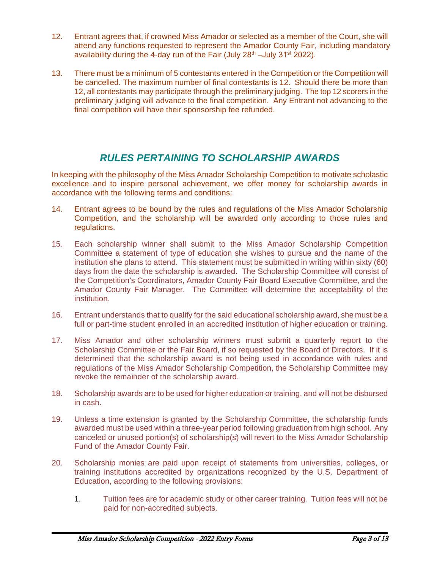- 12. Entrant agrees that, if crowned Miss Amador or selected as a member of the Court, she will attend any functions requested to represent the Amador County Fair, including mandatory availability during the 4-day run of the Fair (July 28<sup>th</sup> –July 31<sup>st</sup> 2022).
- 13. There must be a minimum of 5 contestants entered in the Competition or the Competition will be cancelled. The maximum number of final contestants is 12. Should there be more than 12, all contestants may participate through the preliminary judging. The top 12 scorers in the preliminary judging will advance to the final competition. Any Entrant not advancing to the final competition will have their sponsorship fee refunded.

# *RULES PERTAINING TO SCHOLARSHIP AWARDS*

In keeping with the philosophy of the Miss Amador Scholarship Competition to motivate scholastic excellence and to inspire personal achievement, we offer money for scholarship awards in accordance with the following terms and conditions:

- 14. Entrant agrees to be bound by the rules and regulations of the Miss Amador Scholarship Competition, and the scholarship will be awarded only according to those rules and regulations.
- 15. Each scholarship winner shall submit to the Miss Amador Scholarship Competition Committee a statement of type of education she wishes to pursue and the name of the institution she plans to attend. This statement must be submitted in writing within sixty (60) days from the date the scholarship is awarded. The Scholarship Committee will consist of the Competition's Coordinators, Amador County Fair Board Executive Committee, and the Amador County Fair Manager. The Committee will determine the acceptability of the institution.
- 16. Entrant understands that to qualify for the said educational scholarship award, she must be a full or part-time student enrolled in an accredited institution of higher education or training.
- 17. Miss Amador and other scholarship winners must submit a quarterly report to the Scholarship Committee or the Fair Board, if so requested by the Board of Directors. If it is determined that the scholarship award is not being used in accordance with rules and regulations of the Miss Amador Scholarship Competition, the Scholarship Committee may revoke the remainder of the scholarship award.
- 18. Scholarship awards are to be used for higher education or training, and will not be disbursed in cash.
- 19. Unless a time extension is granted by the Scholarship Committee, the scholarship funds awarded must be used within a three-year period following graduation from high school. Any canceled or unused portion(s) of scholarship(s) will revert to the Miss Amador Scholarship Fund of the Amador County Fair.
- 20. Scholarship monies are paid upon receipt of statements from universities, colleges, or training institutions accredited by organizations recognized by the U.S. Department of Education, according to the following provisions:
	- 1. Tuition fees are for academic study or other career training. Tuition fees will not be paid for non-accredited subjects.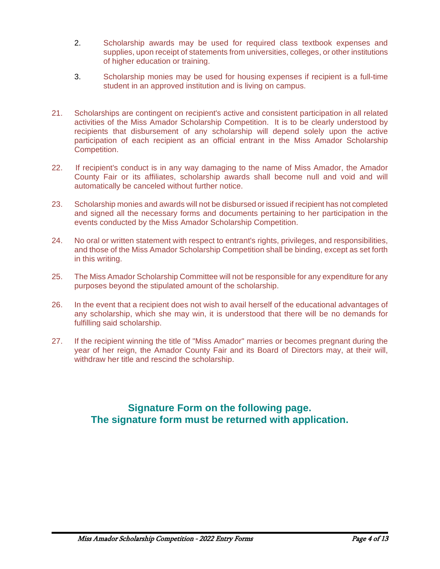- 2. Scholarship awards may be used for required class textbook expenses and supplies, upon receipt of statements from universities, colleges, or other institutions of higher education or training.
- 3. Scholarship monies may be used for housing expenses if recipient is a full-time student in an approved institution and is living on campus.
- 21. Scholarships are contingent on recipient's active and consistent participation in all related activities of the Miss Amador Scholarship Competition. It is to be clearly understood by recipients that disbursement of any scholarship will depend solely upon the active participation of each recipient as an official entrant in the Miss Amador Scholarship Competition.
- 22. If recipient's conduct is in any way damaging to the name of Miss Amador, the Amador County Fair or its affiliates, scholarship awards shall become null and void and will automatically be canceled without further notice.
- 23. Scholarship monies and awards will not be disbursed or issued if recipient has not completed and signed all the necessary forms and documents pertaining to her participation in the events conducted by the Miss Amador Scholarship Competition.
- 24. No oral or written statement with respect to entrant's rights, privileges, and responsibilities, and those of the Miss Amador Scholarship Competition shall be binding, except as set forth in this writing.
- 25. The Miss Amador Scholarship Committee will not be responsible for any expenditure for any purposes beyond the stipulated amount of the scholarship.
- 26. In the event that a recipient does not wish to avail herself of the educational advantages of any scholarship, which she may win, it is understood that there will be no demands for fulfilling said scholarship.
- 27. If the recipient winning the title of "Miss Amador" marries or becomes pregnant during the year of her reign, the Amador County Fair and its Board of Directors may, at their will, withdraw her title and rescind the scholarship.

## **Signature Form on the following page. The signature form must be returned with application.**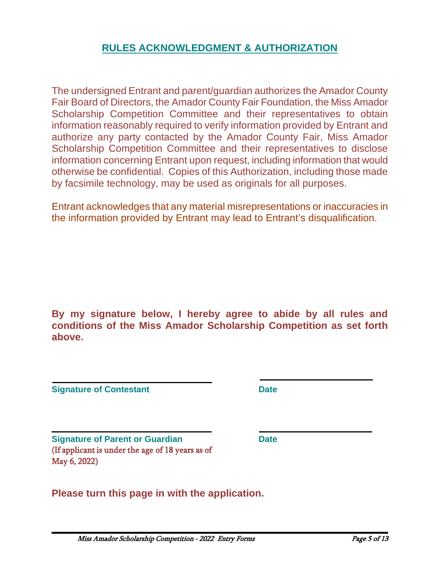# **RULES ACKNOWLEDGMENT & AUTHORIZATION**

The undersigned Entrant and parent/guardian authorizes the Amador County Fair Board of Directors, the Amador County Fair Foundation, the Miss Amador Scholarship Competition Committee and their representatives to obtain information reasonably required to verify information provided by Entrant and authorize any party contacted by the Amador County Fair, Miss Amador Scholarship Competition Committee and their representatives to disclose information concerning Entrant upon request, including information that would otherwise be confidential. Copies of this Authorization, including those made by facsimile technology, may be used as originals for all purposes.

Entrant acknowledges that any material misrepresentations or inaccuracies in the information provided by Entrant may lead to Entrant's disqualification.

**By my signature below, I hereby agree to abide by all rules and conditions of the Miss Amador Scholarship Competition as set forth above.**

**Signature of Contestant Date** 

**Signature of Parent or Guardian Date** (If applicant is under the age of 18 years as of May 6, 2022)

**Please turn this page in with the application.**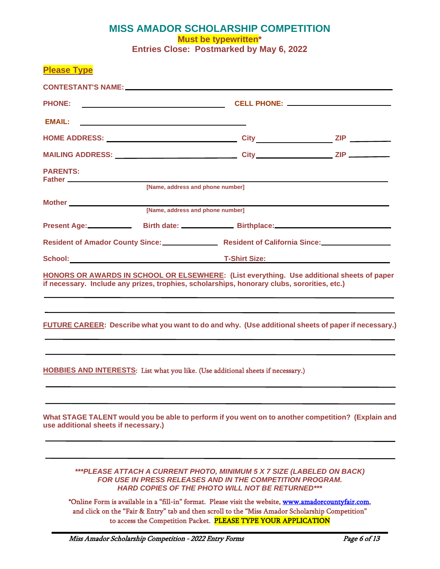### **MISS AMADOR SCHOLARSHIP COMPETITION Must be typewritten\* Entries Close: Postmarked by May 6, 2022**

| <b>Please Type</b>                   |                                                                                                                       |                                                                                                                                            |                                                                                                        |
|--------------------------------------|-----------------------------------------------------------------------------------------------------------------------|--------------------------------------------------------------------------------------------------------------------------------------------|--------------------------------------------------------------------------------------------------------|
|                                      |                                                                                                                       |                                                                                                                                            |                                                                                                        |
| <b>PHONE:</b>                        | <u> 1989 - Johann Barbara, martin amerikan basal dan berasal dalam basal dalam basal dalam basal dalam basal dala</u> |                                                                                                                                            | CELL PHONE: __________________________                                                                 |
| EMAIL:                               |                                                                                                                       |                                                                                                                                            |                                                                                                        |
|                                      |                                                                                                                       |                                                                                                                                            |                                                                                                        |
|                                      |                                                                                                                       |                                                                                                                                            |                                                                                                        |
| <b>PARENTS:</b>                      |                                                                                                                       |                                                                                                                                            |                                                                                                        |
|                                      | [Name, address and phone number]                                                                                      |                                                                                                                                            |                                                                                                        |
|                                      | Mother<br>[Name, address and phone number]                                                                            |                                                                                                                                            |                                                                                                        |
|                                      |                                                                                                                       |                                                                                                                                            | Present Age: Birth date: Birth date: Birthplace: Birthplace:                                           |
|                                      |                                                                                                                       |                                                                                                                                            | Resident of Amador County Since: Case Resident of California Since: Case Resident of California Since: |
|                                      |                                                                                                                       |                                                                                                                                            |                                                                                                        |
|                                      |                                                                                                                       | if necessary. Include any prizes, trophies, scholarships, honorary clubs, sororities, etc.)                                                |                                                                                                        |
|                                      |                                                                                                                       |                                                                                                                                            | FUTURE CAREER: Describe what you want to do and why. (Use additional sheets of paper if necessary.)    |
|                                      |                                                                                                                       | HOBBIES AND INTERESTS: List what you like. (Use additional sheets if necessary.)                                                           |                                                                                                        |
| use additional sheets if necessary.) |                                                                                                                       |                                                                                                                                            | What STAGE TALENT would you be able to perform if you went on to another competition? (Explain and     |
|                                      |                                                                                                                       | ***PLEASE ATTACH A CURRENT PHOTO, MINIMUM 5 X 7 SIZE (LABELED ON BACK)<br><b>FOR USE IN PRESS RELEASES AND IN THE COMPETITION PROGRAM.</b> |                                                                                                        |

*HARD COPIES OF THE PHOTO WILL NOT BE RETURNED\*\*\**

\*Online Form is available in a "fill-in" format. Please visit the website, [www.amadorcountyfair.com,](http://www.amadorcountyfair.com/) and click on the "Fair & Entry" tab and then scroll to the "Miss Amador Scholarship Competition" to access the Competition Packet. PLEASE TYPE YOUR APPLICATION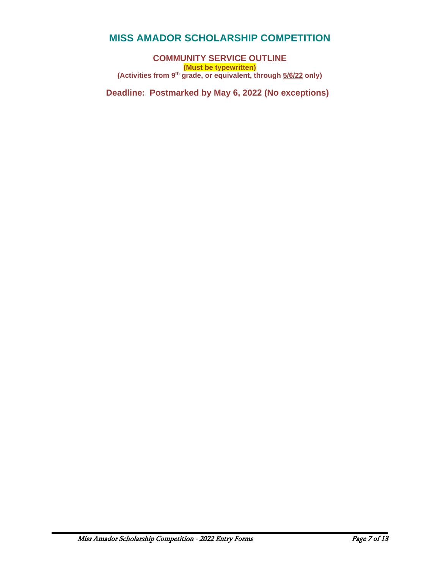**COMMUNITY SERVICE OUTLINE (Must be typewritten) (Activities from 9th grade, or equivalent, through 5/6/22 only)** 

**Deadline: Postmarked by May 6, 2022 (No exceptions)**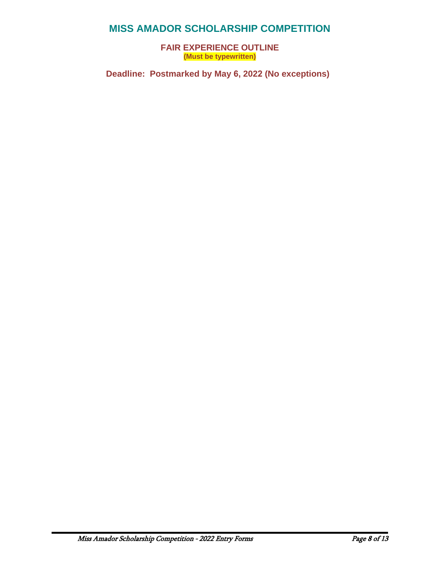**FAIR EXPERIENCE OUTLINE (Must be typewritten)**

**Deadline: Postmarked by May 6, 2022 (No exceptions)**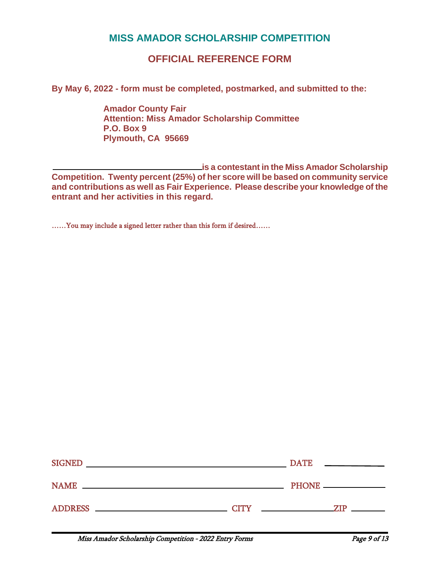# **OFFICIAL REFERENCE FORM**

**By May 6, 2022 - form must be completed, postmarked, and submitted to the:** 

**Amador County Fair Attention: Miss Amador Scholarship Committee P.O. Box 9 Plymouth, CA 95669**

 **is a contestant in the Miss Amador Scholarship Competition. Twenty percent (25%) of her score will be based on community service and contributions as well as Fair Experience. Please describe your knowledge of the entrant and her activities in this regard.**

……You may include a signed letter rather than this form if desired……

| <b>SIGNED</b>                                                              |             | <b>DATE</b><br>the control of the control of the control of |
|----------------------------------------------------------------------------|-------------|-------------------------------------------------------------|
| <b>NAME</b><br><u> 1989 - Johann Stoff, amerikansk politiker (d. 1989)</u> |             | PHONE <u>_________________</u>                              |
| <b>ADDRESS</b>                                                             | <b>CITY</b> | 7TP                                                         |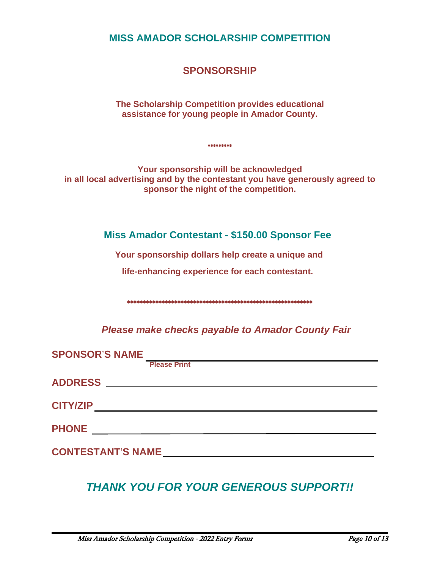**SPONSORSHIP**

**The Scholarship Competition provides educational assistance for young people in Amador County.**

**Your sponsorship will be acknowledged in all local advertising and by the contestant you have generously agreed to sponsor the night of the competition.**

\*\*\*\*\*\*\*\*\*

# **Miss Amador Contestant - \$150.00 Sponsor Fee**

**Your sponsorship dollars help create a unique and** 

**life-enhancing experience for each contestant.**

\*\*\*\*\*\*\*\*\*\*\*\*\*\*\*\*\*\*\*\*\*\*\*\*\*\*\*\*\*\*\*\*\*\*\*\*\*\*\*\*\*\*\*\*\*\*\*\*\*\*\*\*\*\*\*\*\*\*\*

*Please make checks payable to Amador County Fair*

| <b>SPONSOR'S NAME</b>    |                     |  |
|--------------------------|---------------------|--|
|                          | <b>Please Print</b> |  |
|                          |                     |  |
|                          |                     |  |
| <b>CITY/ZIP</b>          |                     |  |
| <b>PHONE</b>             |                     |  |
| <b>CONTESTANT'S NAME</b> |                     |  |

# *THANK YOU FOR YOUR GENEROUS SUPPORT!!*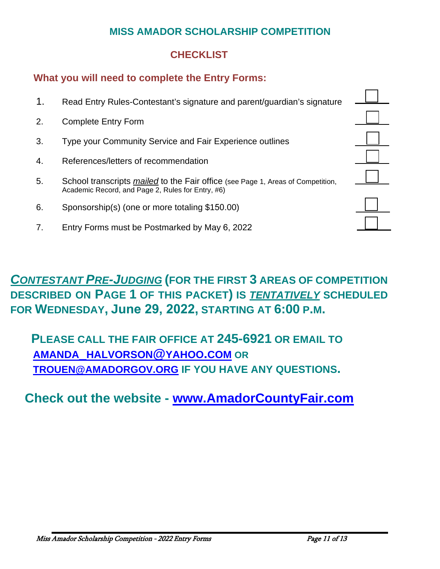# **CHECKLIST**

# **What you will need to complete the Entry Forms:**

- 1. Read Entry Rules-Contestant's signature and parent/guardian's signature
- 2. Complete Entry Form
- 3. Type your Community Service and Fair Experience outlines
- 4. References/letters of recommendation
- 5. School transcripts *mailed* to the Fair office (see Page 1, Areas of Competition, Academic Record, and Page 2, Rules for Entry, #6)
- 6. Sponsorship(s) (one or more totaling \$150.00)
- 7. Entry Forms must be Postmarked by May 6, 2022

# *CONTESTANT PRE-JUDGING* **(FOR THE FIRST 3 AREAS OF COMPETITION DESCRIBED ON PAGE 1 OF THIS PACKET) IS** *TENTATIVELY* **SCHEDULED FOR WEDNESDAY, June 29, 2022, STARTING AT 6:00 P.M.**

**PLEASE CALL THE FAIR OFFICE AT 245-6921 OR EMAIL TO [AMANDA\\_HALVORSON@YAHOO.COM](mailto:amanda_halvorson@yahoo.com) OR TROUEN@AMADORGOV.ORG IF YOU HAVE ANY QUESTIONS.** 

# **Check out the website - [www.AmadorCountyFair.com](http://www.amadorcountyfair.com/)**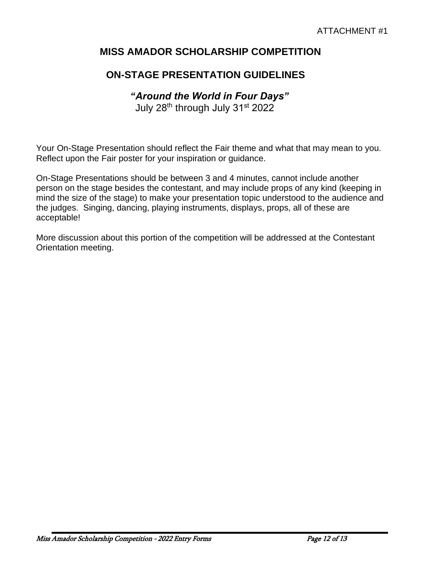# **ON-STAGE PRESENTATION GUIDELINES**

# *"Around the World in Four Days"*

July 28<sup>th</sup> through July 31<sup>st</sup> 2022

Your On-Stage Presentation should reflect the Fair theme and what that may mean to you. Reflect upon the Fair poster for your inspiration or guidance.

On-Stage Presentations should be between 3 and 4 minutes, cannot include another person on the stage besides the contestant, and may include props of any kind (keeping in mind the size of the stage) to make your presentation topic understood to the audience and the judges. Singing, dancing, playing instruments, displays, props, all of these are acceptable!

More discussion about this portion of the competition will be addressed at the Contestant Orientation meeting.